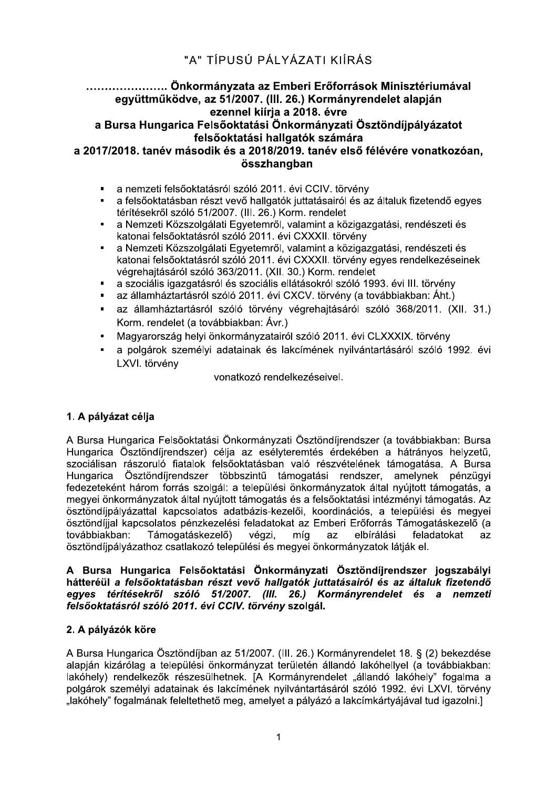# "A" TÍPUSÚ PÁI YÁZATI KIÍRÁS

# ………………… Önkormányzata az Emberi Erőforrások Minisztériumával együttműködye, az 51/2007. (III. 26.) Kormányrendelet alapján ezennel kiírja a 2018. évre a Bursa Hungarica Felsőoktatási Önkormányzati Ösztöndíjpályázatot felsőoktatási hallgatók számára

a 2017/2018, tanév második és a 2018/2019, tanév első félévére vonatkozóan. összhangban

- a nemzeti felsőoktatásról szóló 2011. évi CCIV. törvény
- a felsőoktatásban részt vevő hallgatók juttatásairól és az általuk fizetendő egyes térítésekről szóló 51/2007. (III. 26.) Korm. rendelet
- a Nemzeti Közszolgálati Egyetemről, valamint a közigazgatási, rendészeti és  $\blacksquare$ katonai felsőoktatásról szóló 2011. évi CXXXII. törvény
- a Nemzeti Közszolgálati Egyetemről, valamint a közigazgatási, rendészeti és  $\blacksquare$ katonai felsőoktatásról szóló 2011. évi CXXXII. törvény egyes rendelkezéseinek végrehajtásáról szóló 363/2011. (XII. 30.) Korm. rendelet
- a szociális jgazgatásról és szociális ellátásokról szóló 1993. évi III. törvény  $\blacksquare$
- $\blacksquare$ az államháztartásról szóló 2011. évi CXCV. törvény (a továbbiakban: Áht.)
- az államháztartásról szóló törvény végrehajtásáról szóló 368/2011. (XII. 31.)  $\blacksquare$ Korm. rendelet (a továbbiakban: Ávr.)
- Magyarország helyi önkormányzatairól szóló 2011. évi CLXXXIX. törvény  $\blacksquare$
- a polgárok személyi adatainak és lakcímének nyilvántartásáról szóló 1992. évi LXVI. törvény

vonatkozó rendelkezéseivel.

# 1. A pályázat célja

A Bursa Hungarica Felsőoktatási Önkormányzati Ösztöndíjrendszer (a továbbiakban: Bursa Hungarica Ösztöndíjrendszer) célja az esélyteremtés érdekében a hátrányos helyzetű, szociálisan rászoruló fiatalok felsőoktatásban való részvételének támogatása. A Bursa Hungarica Ösztöndíjrendszer többszintű támogatási rendszer, amelynek pénzügyi fedezeteként három forrás szolgál: a települési önkormányzatok által nyújtott támogatás, a megyei önkormányzatok által nyújtott támogatás és a felsőoktatási intézményi támogatás. Az ösztöndíjpályázattal kapcsolatos adatbázis-kezelői, koordinációs, a települési és megyei ösztöndíjjal kapcsolatos pénzkezelési feladatokat az Emberi Erőforrás Támogatáskezelő (a Támogatáskezelő) továbbiakban: végzi, mía az elbírálási feladatokat  $27$ ösztöndíjpályázathoz csatlakozó települési és megyei önkormányzatok látják el.

#### A Bursa Hungarica Felsőoktatási Önkormányzati Ösztöndíirendszer jogszabályi hátteréül a felsőoktatásban részt vevő hallgatók juttatásairól és az általuk fizetendő egyes térítésekről szóló 51/2007. (III. 26.) Kormányrendelet és a nemzeti felsőoktatásról szóló 2011. évi CCIV. törvény szolgál.

### 2. A pályázók köre

A Bursa Hungarica Ösztöndíjban az 51/2007. (III. 26.) Kormányrendelet 18. § (2) bekezdése alapján kizárólag a települési önkormányzat területén állandó lakóhellyel (a továbbiakban: lakóhely) rendelkezők részesülhetnek. [A Kormányrendelet "állandó lakóhely" fogalma a polgárok személyi adatainak és lakcímének nyilvántartásáról szóló 1992. évi LXVI. törvény "lakóhely" fogalmának feleltethető meg, amelyet a pályázó a lakcímkártyájával tud igazolni.]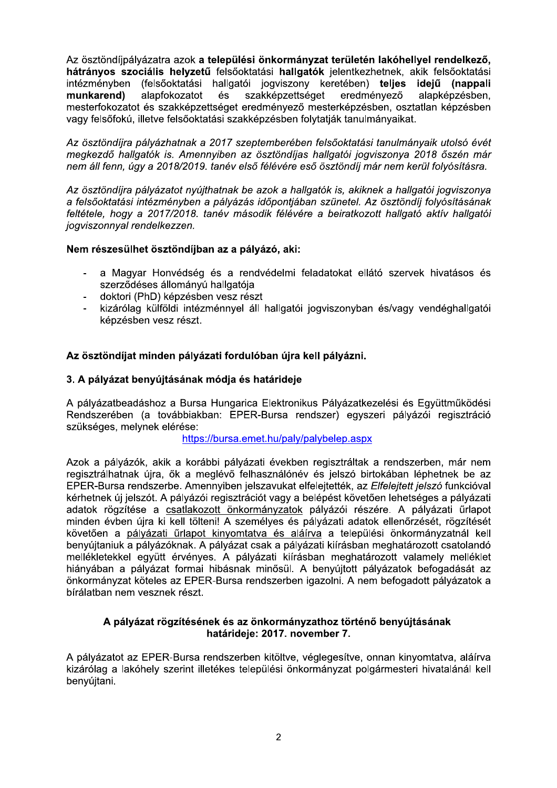Az ösztöndíjpályázatra azok a települési önkormányzat területén lakóhellyel rendelkező. hátrányos szociális helyzetű felsőoktatási hallgatók jelentkezhetnek, akik felsőoktatási intézményben (felsőoktatási hallgatói jogviszony keretében) teljes ideiű (nappali munkarend) alapfokozatot szakképzettséget eredményező és alapképzésben. mesterfokozatot és szakképzettséget eredményező mesterképzésben, osztatlan képzésben vagy felsőfokú, illetve felsőoktatási szakképzésben folytatiák tanulmányaikat.

Az ösztöndíjra pályázhatnak a 2017 szeptemberében felsőoktatási tanulmányaik utolsó évét megkezdő hallgatók is. Amennyiben az ösztöndíjas hallgatói jogviszonya 2018 őszén már nem áll fenn, úgy a 2018/2019. tanév első félévére eső ösztöndíj már nem kerül folyósításra.

Az ösztöndíjra pályázatot nyújthatnak be azok a hallgatók is, akiknek a hallgatói jogviszonya a felsőoktatási intézményben a pálvázás időpontiában szünetel. Az ösztöndíi folvósításának feltétele, hogy a 2017/2018, tanév második félévére a beiratkozott hallgató aktív hallgatói jogviszonnyal rendelkezzen.

# Nem részesülhet ösztöndíjban az a pályázó, aki:

- a Magyar Honvédség és a rendvédelmi feladatokat ellátó szervek hivatásos és szerződéses állományú hallgatója
- doktori (PhD) képzésben vesz részt
- kizárólag külföldi intézménnyel áll hallgatói jogviszonyban és/vagy vendéghallgatói képzésben vesz részt.

# Az ösztöndíjat minden pályázati fordulóban újra kell pályázni.

# 3. A pályázat benyújtásának módja és határideje

A pályázatbeadáshoz a Bursa Hungarica Elektronikus Pályázatkezelési és Együttműködési Rendszerében (a továbbiakban: EPER-Bursa rendszer) egyszeri pályázói regisztráció szükséges, melynek elérése:

https://bursa.emet.hu/palv/palvbelep.aspx

Azok a pálvázók, akik a korábbi pálvázati években regisztráltak a rendszerben, már nem regisztrálhatnak újra, ők a meglévő felhasználónév és jelszó birtokában léphetnek be az EPER-Bursa rendszerbe. Amennyiben jelszayukat elfeleitették, az Elfeleitett jelszó funkcióval kérhetnek új jelszót. A pályázói regisztrációt vagy a belépést követően lehetséges a pályázati adatok rögzítése a csatlakozott önkormányzatok pályázói részére. A pályázati űrlapot minden évben újra ki kell tölteni! A személyes és pályázati adatok ellenőrzését, rögzítését követően a pályázati űrlapot kinyomtatva és aláírva a települési önkormányzatnál kell benyújtaniuk a pályázóknak. A pályázat csak a pályázati kiírásban meghatározott csatolandó mellékletekkel együtt érvényes. A pályázati kiírásban meghatározott valamely melléklet hiányában a pályázat formai hibásnak minősül. A benyújtott pályázatok befogadását az önkormányzat köteles az EPER-Bursa rendszerben jgazolni. A nem befogadott pályázatok a bírálatban nem vesznek részt.

### A pályázat rögzítésének és az önkormányzathoz történő benyújtásának határideje: 2017. november 7.

A pályázatot az EPER-Bursa rendszerben kitöltve, véglegesítve, onnan kinyomtatva, aláírva kizárólag a lakóhely szerint illetékes települési önkormányzat polgármesteri hivatalánál kell benyújtani.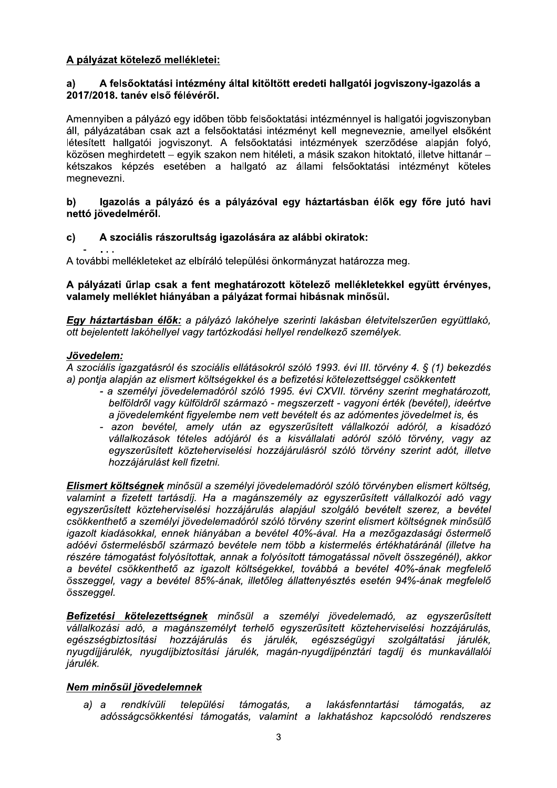# A pályázat kötelező mellékletei:

#### A felsőoktatási intézmény által kitöltött eredeti hallgatói jogyiszony-igazolás a  $a)$ 2017/2018. tanév első félévéről.

Amennyiben a pályázó egy időben több felsőoktatási intézménnyel is hallgatói jogyiszonyban áll, pálvázatában csak azt a felsőoktatási intézményt kell megneveznie, amellyel elsőként létesített hallgatói jogviszonyt. A felsőoktatási intézmények szerződése alapján folyó, közösen meghirdetett – egyik szakon nem hitéleti, a másik szakon hitoktató, illetve hittanár – kétszakos képzés esetében a hallgató az állami felsőoktatási intézményt köteles megnevezni.

#### $\mathbf{b}$ lgazolás a pálvázó és a pálvázóval egy háztartásban élők egy főre jutó havi nettó jövedelméről.

#### A szociális rászorultság igazolására az alábbi okiratok:  $\mathbf{c}$

A további mellékleteket az elbíráló települési önkormányzat határozza meg.

#### A pályázati űrlap csak a fent meghatározott kötelező mellékletekkel együtt érvényes, valamely melléklet hiányában a pályázat formai hibásnak minősül.

Egy háztartásban élők: a pálvázó lakóhelye szerinti lakásban életvitelszerűen együttlakó. ott bejelentett lakóhellyel vagy tartózkodási hellyel rendelkező személyek.

### Jövedelem:

A szociális jgazgatásról és szociális ellátásokról szóló 1993. évi III. törvény 4. § (1) bekezdés a) pontja alapján az elismert költségekkel és a befizetési kötelezettséggel csökkentett

- a személyi jövedelemadóról szóló 1995, évi CXVII, törvény szerint meghatározott. belföldről vagy külföldről származó - megszerzett - vagyoni érték (bevétel), ideértve a jövedelemként figyelembe nem vett bevételt és az adómentes jövedelmet is, és
- azon bevétel, amely után az egyszerűsített vállalkozói adóról, a kisadózó vállalkozások tételes adójáról és a kisvállalati adóról szóló törvény, vagy az egyszerűsített közteherviselési hozzájárulásról szóló törvény szerint adót, illetve hozzájárulást kell fizetni.

Elismert költségnek minősül a személyi jövedelemadóról szóló törvényben elismert költség, valamint a fizetett tartásdíj. Ha a magánszemély az egyszerűsített vállalkozói adó vagy egyszerűsített közteherviselési hozzájárulás alapjául szolgáló bevételt szerez, a bevétel csökkenthető a személyi jövedelemadóról szóló törvény szerint elismert költségnek minősülő igazolt kiadásokkal, ennek hiányában a bevétel 40%-ával. Ha a mezőgazdasági őstermelő adóévi őstermelésből származó bevétele nem több a kistermelés értékhatáránál (illetve ha részére támogatást folyósítottak, annak a folyósított támogatással növelt összegénél), akkor a bevétel csökkenthető az jgazolt költségekkel, továbbá a bevétel 40%-ának megfelelő összeggel, vagy a bevétel 85%-ának, illetőleg állattenvésztés esetén 94%-ának megfelelő összeggel.

Befizetési kötelezettségnek minősül a személyi jövedelemadó, az egyszerűsített vállalkozási adó, a magánszemélyt terhelő egyszerűsített közteherviselési hozzájárulás, egészségbiztosítási hozzájárulás és járulék, egészségügyi szolgáltatási járulék, nyugdíjjárulék, nyugdíjbiztosítási járulék, magán-nyugdíjpénztári tagdíj és munkavállalói járulék.

### Nem minősül jövedelemnek

rendkívüli települési támogatás, lakásfenntartási a) a  $\overline{a}$ támogatás,  $\overline{a}$ adósságcsökkentési támogatás, valamint a lakhatáshoz kapcsolódó rendszeres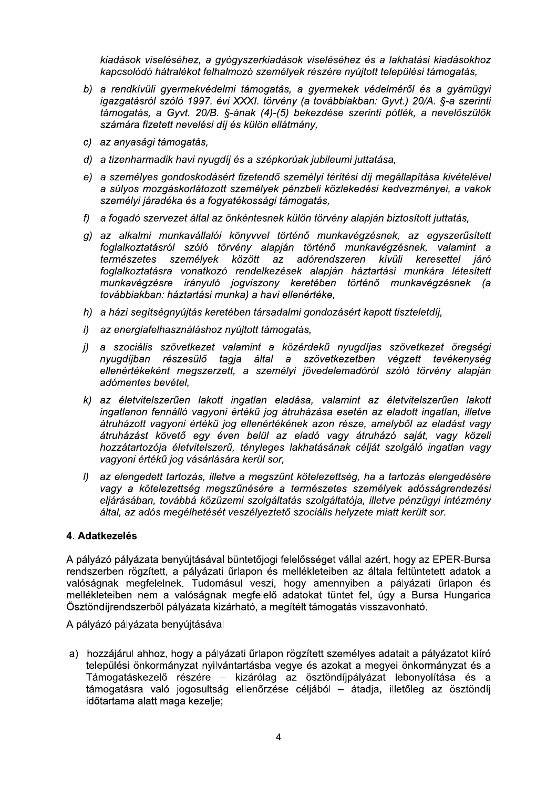kiadások viseléséhez, a gyógyszerkiadások viseléséhez és a lakhatási kiadásokhoz kapcsolódó hátralékot felhalmozó személyek részére nyújtott települési támogatás,

- b) a rendkívüli gyermekvédelmi támogatás, a gyermekek védelméről és a gyámügyi igazgatásról szóló 1997. évi XXXI. törvény (a továbbiakban: Gyvt.) 20/A. §-a szerinti támogatás, a Gyvt. 20/B. §-ának (4)-(5) bekezdése szerinti pótlék, a nevelőszülők számára fizetett nevelési díj és külön ellátmány,
- c) az anyasági támogatás.
- d) a tizenharmadik havi nyugdíj és a szépkorúak jubileumi juttatása.
- e) a személyes gondoskodásért fizetendő személyi térítési díj megállapítása kivételével a súlyos mozgáskorlátozott személyek pénzbeli közlekedési kedvezményei, a vakok személyi járadéka és a fogyatékossági támogatás,
- f) a fogadó szervezet által az önkéntesnek külön törvény alapján biztosított juttatás,
- g) az alkalmi munkavállalói könyvvel történő munkavégzésnek, az egyszerűsített foglalkoztatásról szóló törvény alapján történő munkavégzésnek, valamint a között adórendszeren természetes személvek az kívüli keresettel járó foglalkoztatásra vonatkozó rendelkezések alapján háztartási munkára létesített munkavégzésre irányuló jogviszony keretében történő munkavégzésnek (a továbbiakban: háztartási munka) a havi ellenértéke,
- h) a házi segítségnyújtás keretében társadalmi gondozásért kapott tiszteletdíj,
- i) az energiafelhasználáshoz nyújtott támogatás,
- j) a szociális szövetkezet valamint a közérdekű nyugdíjas szövetkezet öregségi nvugdíjban részesülő tagja által a szövetkezetben véazett tevékenvség ellenértékeként megszerzett, a személyi jövedelemadóról szóló törvény alapján adómentes bevétel,
- k) az életvitelszerűen lakott ingatlan eladása, valamint az életvitelszerűen lakott ingatlanon fennálló vagyoni értékű jog átruházása esetén az eladott ingatlan, illetve átruházott vagyoni értékű jog ellenértékének azon része, amelyből az eladást vagy átruházást követő egy éven belül az eladó vagy átruházó saját, vagy közeli hozzátartozója életvitelszerű, tényleges lakhatásának célját szolgáló ingatlan vagy vagyoni értékű jog vásárlására kerül sor.
- I) az elengedett tartozás, illetve a megszűnt kötelezettség, ha a tartozás elengedésére vagy a kötelezettség megszűnésére a természetes személyek adósságrendezési eljárásában, továbbá közüzemi szolgáltatás szolgáltatója, illetve pénzügyi intézmény által, az adós megélhetését veszélyeztető szociális helyzete miatt került sor.

# 4. Adatkezelés

A pálvázó pálvázata benyújtásával büntetőjogi felelősséget vállal azért, hogy az EPER-Bursa rendszerben rögzített, a pályázati űrlapon és mellékleteiben az általa feltüntetett adatok a valóságnak megfelelnek. Tudomásul veszi, hogy amennyiben a pályázati űrlapon és mellékleteiben nem a valóságnak megfelelő adatokat tüntet fel, úgy a Bursa Hungarica Ösztöndíjrendszerből pályázata kizárható, a megítélt támogatás visszavonható.

A pályázó pályázata benyújtásával

a) hozzájárul ahhoz, hogy a pálvázati űrlapon rögzített személyes adatait a pálvázatot kiíró települési önkormányzat nyilvántartásba vegye és azokat a megyei önkormányzat és a Támogatáskezelő részére – kizárólag az ösztöndíjpálvázat lebonvolítása és a támogatásra való jogosultság ellenőrzése céljából – átadja, illetőleg az ösztöndíj időtartama alatt maga kezelje;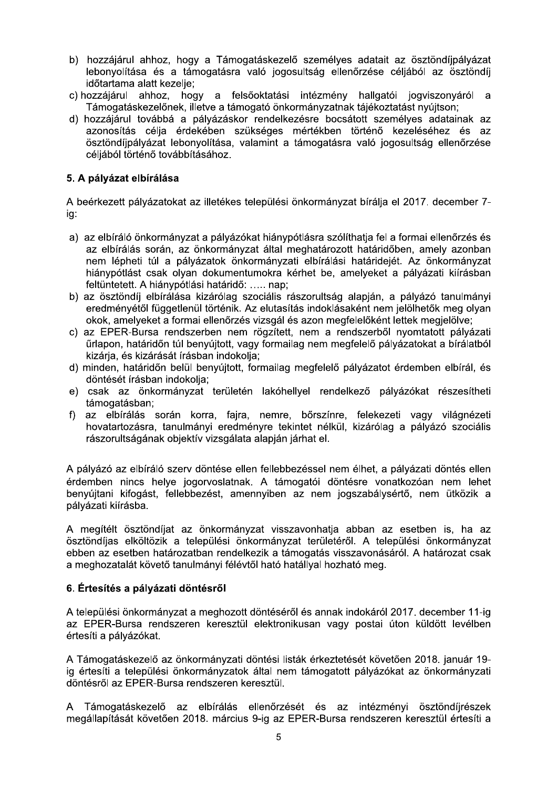- b) hozzájárul ahhoz, hogy a Támogatáskezelő személyes adatait az ösztöndíjpályázat lebonyolítása és a támogatásra való jogosultság ellenőrzése céljából az ösztöndíj időtartama alatt kezelje;
- c) hozzájárul ahhoz, hogy a felsőoktatási intézmény hallgatói jogviszonváról a Támogatáskezelőnek, illetve a támogató önkormányzatnak tájékoztatást nyújtson;
- d) hozzájárul továbbá a pálvázáskor rendelkezésre bocsátott személyes adatainak az azonosítás célia érdekében szükséges mértékben történő kezeléséhez és az ösztöndíjpályázat lebonyolítása, valamint a támogatásra való jogosultság ellenőrzése céliából történő továbbításához.

# 5. A pályázat elbírálása

A beérkezett pálvázatokat az illetékes települési önkormányzat bírália el 2017. december 7ig:

- a) az elbíráló önkormányzat a pályázókat hiánypótlásra szólíthatja fel a formai ellenőrzés és az elbírálás során, az önkormányzat által meghatározott határidőben, amely azonban nem lépheti túl a pályázatok önkormányzati elbírálási határidejét. Az önkormányzat hiánypótlást csak olyan dokumentumokra kérhet be, amelyeket a pályázati kiírásban feltüntetett. A hiánypótlási határidő: ..... nap;
- b) az ösztöndíi elbírálása kizárólag szociális rászorultság alapián, a pálvázó tanulmányi eredményétől függetlenül történik. Az elutasítás indoklásaként nem jelölhetők meg olyan okok, amelyeket a formai ellenőrzés vizsgál és azon megfelelőként lettek megjelölve;
- c) az EPER-Bursa rendszerben nem rögzített, nem a rendszerből nyomtatott pályázati űrlapon, határidőn túl benyújtott, vagy formajlag nem megfelelő pályázatokat a bírálatból kizárja, és kizárását írásban indokolja;
- d) minden, határidőn belül benyújtott, formailag megfelelő pályázatot érdemben elbírál, és döntését írásban indokolja;
- e) csak az önkormányzat területén lakóhellyel rendelkező pályázókat részesítheti támogatásban;
- f) az elbírálás során korra, fajra, nemre, bőrszínre, felekezeti vagy világnézeti hovatartozásra, tanulmányi eredményre tekintet nélkül, kizárólag a pályázó szociális rászorultságának objektív vizsgálata alapján járhat el.

A pályázó az elbíráló szerv döntése ellen fellebbezéssel nem élhet, a pályázati döntés ellen érdemben nincs helye jogorvoslatnak. A támogatói döntésre vonatkozóan nem lehet benyújtani kifogást, fellebbezést, amennyiben az nem jogszabálysértő, nem ütközik a pályázati kiírásba.

A megítélt ösztöndíjat az önkormányzat visszavonhatja abban az esetben is, ha az ösztöndíjas elköltözik a települési önkormányzat területéről. A települési önkormányzat ebben az esetben határozatban rendelkezik a támogatás visszavonásáról. A határozat csak a meghozatalát követő tanulmányi félévtől ható hatállyal hozható meg.

### 6. Értesítés a pályázati döntésről

A települési önkormányzat a meghozott döntéséről és annak indokáról 2017. december 11-ig az EPER-Bursa rendszeren keresztül elektronikusan vagy postai úton küldött levélben értesíti a pályázókat.

A Támogatáskezelő az önkormányzati döntési listák érkeztetését követően 2018. január 19ja értesíti a települési önkormányzatok által nem támogatott pályázókat az önkormányzati döntésről az EPER-Bursa rendszeren keresztül.

A Támogatáskezelő az elbírálás ellenőrzését és az intézményi ösztöndíjrészek megállapítását követően 2018. március 9-ig az EPER-Bursa rendszeren keresztül értesíti a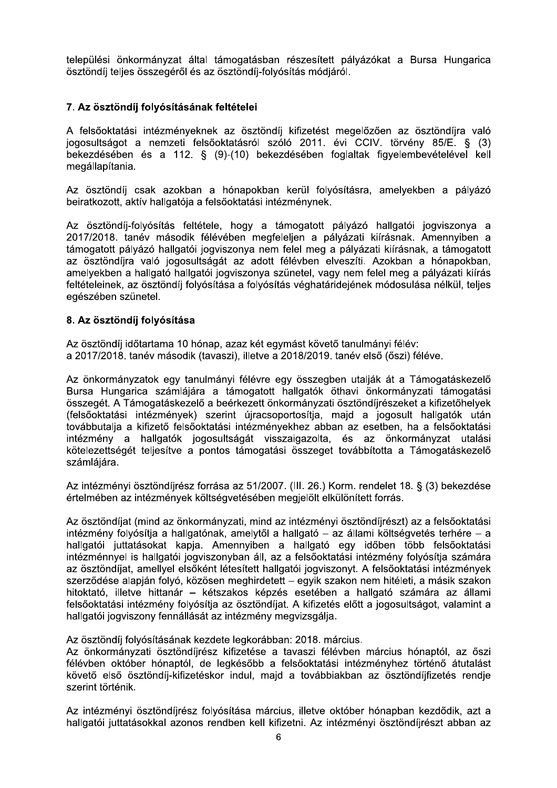települési önkormányzat által támogatásban részesített pályázókat a Bursa Hungarica ösztöndíj teljes összegéről és az ösztöndíj-folyósítás módjáról.

# 7. Az ösztöndíj folyósításának feltételei

A felsőoktatási intézményeknek az ösztöndíi kifizetést megelőzően az ösztöndíira való jogosultságot a nemzeti felsőoktatásról szóló 2011. évi CCIV. törvény 85/E. § (3) bekezdésében és a 112. § (9)-(10) bekezdésében foglaltak figyelembevételével kell megállapítania.

Az ösztöndíj csak azokban a hónapokban kerül folyósításra, amelyekben a pálvázó beiratkozott, aktív hallgatója a felsőoktatási intézménynek.

Az ösztöndíj-folyósítás feltétele, hogy a támogatott pályázó hallgatói jogviszonya a 2017/2018. tanév második félévében megfeleljen a pályázati kiírásnak. Amennyiben a támogatott pályázó hallgatói jogviszonya nem felel meg a pályázati kiírásnak, a támogatott az ösztöndíjra való jogosultságát az adott félévben elveszíti. Azokban a hónapokban, amelyekben a hallgató hallgatój jogyiszonya szünetel, vagy nem felel meg a pályázati kiírás feltételeinek, az ösztöndíj folyósítása a folyósítás véghatáridejének módosulása nélkül, teljes egészében szünetel.

### 8. Az ösztöndíi folyósítása

Az ösztöndíi időtartama 10 hónap, azaz két egymást követő tanulmányi félév: a 2017/2018. tanév második (tavaszi), illetve a 2018/2019. tanév első (őszi) féléve.

Az önkormányzatok egy tanulmányi félévre egy összegben utalják át a Támogatáskezelő Bursa Hungarica számlájára a támogatott hallgatók öthavi önkormányzati támogatási összegét. A Támogatáskezelő a beérkezett önkormányzati ösztöndíjrészeket a kifizetőhelyek (felsőoktatási intézmények) szerint újracsoportosítja, majd a jogosult hallgatók után továbbutalja a kifizető felsőoktatási intézményekhez abban az esetben, ha a felsőoktatási intézmény a hallgatók jogosultságát visszaigazolta, és az önkormányzat utalási kötelezettségét teljesítve a pontos támogatási összeget továbbította a Támogatáskezelő számlájára.

Az intézményi ösztöndíjrész forrása az 51/2007. (III. 26.) Korm. rendelet 18. § (3) bekezdése értelmében az intézmények költségyetésében megjelölt elkülönített forrás.

Az ösztöndíjat (mind az önkormányzati, mind az intézményi ösztöndíjrészt) az a felsőoktatási intézmény folyósítja a hallgatónak, amelytől a hallgató – az állami költségyetés terhére – a hallgatói juttatásokat kapja. Amennyiben a hallgató egy időben több felsőoktatási intézménnyel is hallgatói jogviszonyban áll, az a felsőoktatási intézmény folyósítja számára az ösztöndíjat, amellyel elsőként létesített hallgatój jogyiszonyt. A felsőoktatási intézmények szerződése alapján folyó, közösen meghirdetett – egyik szakon nem hitéleti, a másik szakon hitoktató, illetve hittanár - kétszakos képzés esetében a hallgató számára az állami felsőoktatási intézmény folyósítja az ösztöndíjat. A kifizetés előtt a jogosultságot, valamint a hallgatói jogviszony fennállását az intézmény megvizsgálja.

Az ösztöndíj folyósításának kezdete legkorábban: 2018. március.

Az önkormányzati ösztöndíirész kifizetése a tavaszi félévben március hónaptól, az őszi félévben október hónaptól, de legkésőbb a felsőoktatási intézményhez történő átutalást követő első ösztöndíj-kifizetéskor indul, majd a továbbiakban az ösztöndíjfizetés rendie szerint történik.

Az intézményi ösztöndíjrész folyósítása március, illetve október hónapban kezdődik, azt a hallgatói juttatásokkal azonos rendben kell kifizetni. Az intézményi ösztöndíjrészt abban az